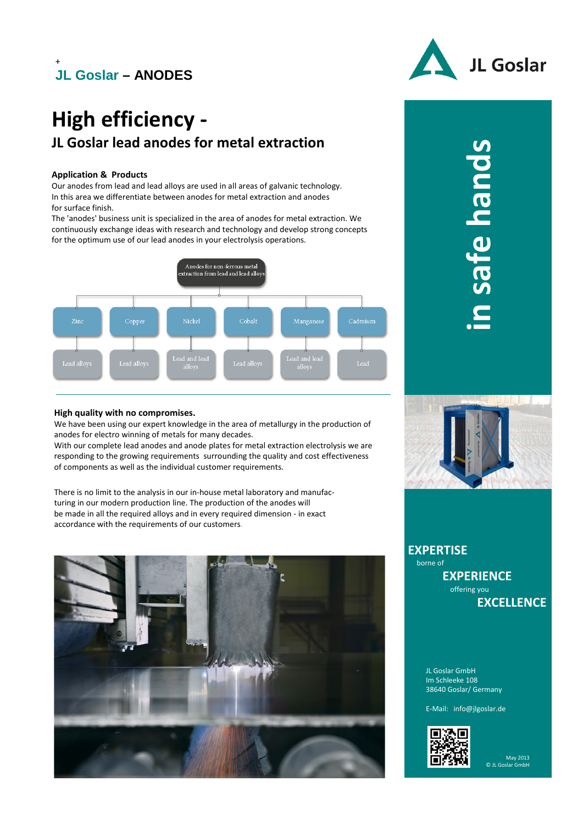## **JL Goslar – ANODES**

# **High efficiency - JL Goslar lead anodes for metal extraction**

#### **Application & Products**

+

Our anodes from lead and lead alloys are used in all areas of galvanic technology. In this area we differentiate between anodes for metal extraction and anodes for surface finish.

The 'anodes' business unit is specialized in the area of anodes for metal extraction. We continuously exchange ideas with research and technology and develop strong concepts for the optimum use of our lead anodes in your electrolysis operations.



# JL Goslar

n safe hands **in safe hands**

#### **High quality with no compromises.**

We have been using our expert knowledge in the area of metallurgy in the production of anodes for electro winning of metals for many decades.

With our complete lead anodes and anode plates for metal extraction electrolysis we are responding to the growing requirements surrounding the quality and cost effectiveness of components as well as the individual customer requirements.

There is no limit to the analysis in our in-house metal laboratory and manufacturing in our modern production line. The production of the anodes will be made in all the required alloys and in every required dimension - in exact accordance with the requirements of our customers.



**EXPERTISE**  borne of **EXPERIENCE** 

> offering you **EXCELLENCE**

JL Goslar GmbH Im Schleeke 108 38640 Goslar/ Germany

E-Mail: info@jlgoslar.de



May 2013 © JL Goslar GmbH